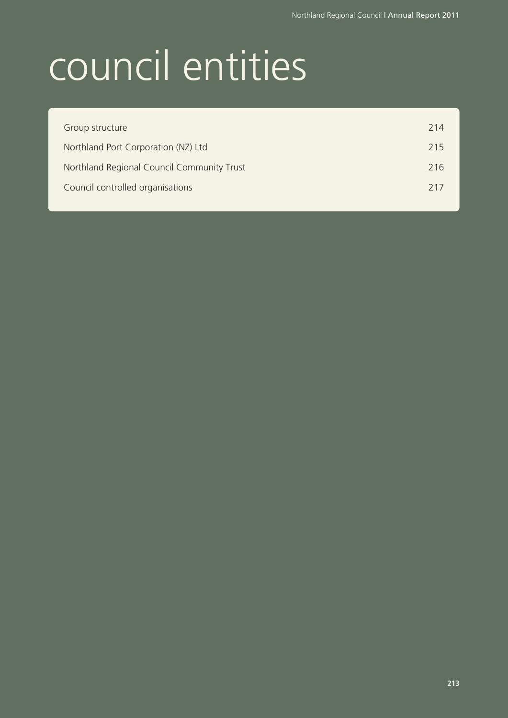# council entities

| Group structure                            | 214 |
|--------------------------------------------|-----|
| Northland Port Corporation (NZ) Ltd        | 215 |
| Northland Regional Council Community Trust | 216 |
| Council controlled organisations           | 217 |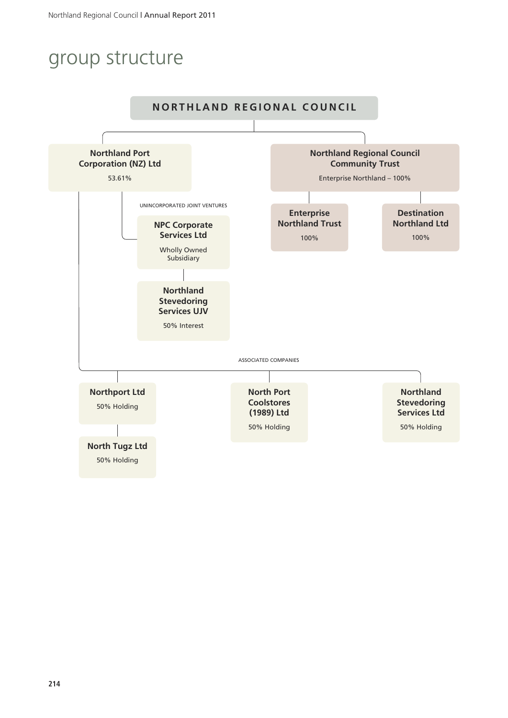### group structure

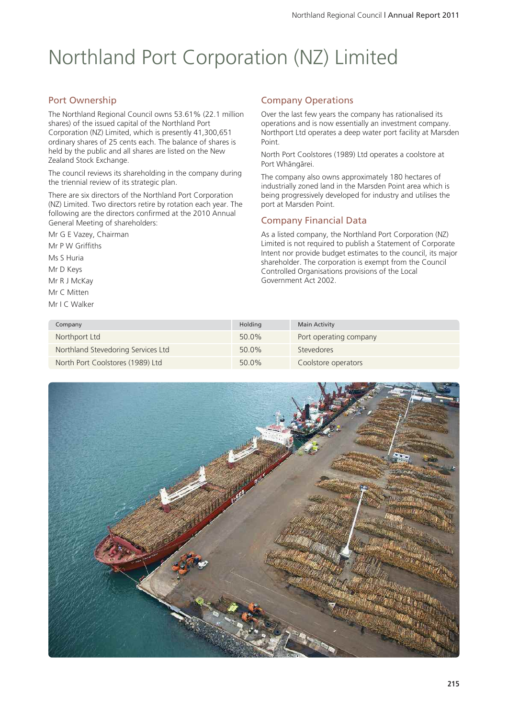# Northland Port Corporation (NZ) Limited

#### Port Ownership

The Northland Regional Council owns 53.61% (22.1 million shares) of the issued capital of the Northland Port Corporation (NZ) Limited, which is presently 41,300,651 ordinary shares of 25 cents each. The balance of shares is held by the public and all shares are listed on the New Zealand Stock Exchange.

The council reviews its shareholding in the company during the triennial review of its strategic plan.

There are six directors of the Northland Port Corporation (NZ) Limited. Two directors retire by rotation each year. The following are the directors confirmed at the 2010 Annual General Meeting of shareholders:

Mr G E Vazey, Chairman

Mr P W Griffiths

Ms S Huria

Mr D Keys

Mr R J McKay

Mr C Mitten

Mr I C Walker

#### Company Operations

Over the last few years the company has rationalised its operations and is now essentially an investment company. Northport Ltd operates a deep water port facility at Marsden Point.

North Port Coolstores (1989) Ltd operates a coolstore at Port Whängärei.

The company also owns approximately 180 hectares of industrially zoned land in the Marsden Point area which is being progressively developed for industry and utilises the port at Marsden Point.

#### Company Financial Data

As a listed company, the Northland Port Corporation (NZ) Limited is not required to publish a Statement of Corporate Intent nor provide budget estimates to the council, its major shareholder. The corporation is exempt from the Council Controlled Organisations provisions of the Local Government Act 2002.

| Company                            | Holding | Main Activity          |
|------------------------------------|---------|------------------------|
| Northport Ltd                      | 50.0%   | Port operating company |
| Northland Stevedoring Services Ltd | 50.0%   | <b>Stevedores</b>      |
| North Port Coolstores (1989) Ltd   | 50.0%   | Coolstore operators    |

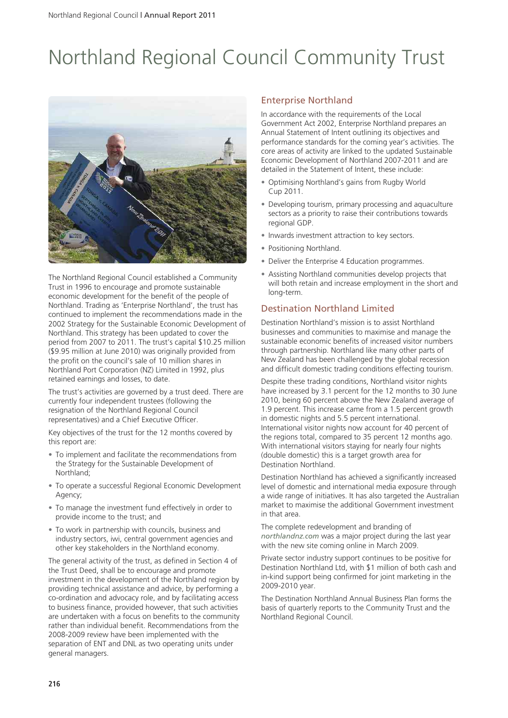# Northland Regional Council Community Trust



The Northland Regional Council established a Community Trust in 1996 to encourage and promote sustainable economic development for the benefit of the people of Northland. Trading as 'Enterprise Northland', the trust has continued to implement the recommendations made in the 2002 Strategy for the Sustainable Economic Development of Northland. This strategy has been updated to cover the period from 2007 to 2011. The trust's capital \$10.25 million (\$9.95 million at June 2010) was originally provided from the profit on the council's sale of 10 million shares in Northland Port Corporation (NZ) Limited in 1992, plus retained earnings and losses, to date.

The trust's activities are governed by a trust deed. There are currently four independent trustees (following the resignation of the Northland Regional Council representatives) and a Chief Executive Officer.

Key objectives of the trust for the 12 months covered by this report are:

- To implement and facilitate the recommendations from the Strategy for the Sustainable Development of Northland;
- To operate a successful Regional Economic Development Agency;
- To manage the investment fund effectively in order to provide income to the trust; and
- To work in partnership with councils, business and industry sectors, iwi, central government agencies and other key stakeholders in the Northland economy.

The general activity of the trust, as defined in Section 4 of the Trust Deed, shall be to encourage and promote investment in the development of the Northland region by providing technical assistance and advice, by performing a co-ordination and advocacy role, and by facilitating access to business finance, provided however, that such activities are undertaken with a focus on benefits to the community rather than individual benefit. Recommendations from the 2008-2009 review have been implemented with the separation of ENT and DNL as two operating units under general managers.

#### Enterprise Northland

In accordance with the requirements of the Local Government Act 2002, Enterprise Northland prepares an Annual Statement of Intent outlining its objectives and performance standards for the coming year's activities. The core areas of activity are linked to the updated Sustainable Economic Development of Northland 2007-2011 and are detailed in the Statement of Intent, these include:

- Optimising Northland's gains from Rugby World Cup 2011.
- Developing tourism, primary processing and aquaculture sectors as a priority to raise their contributions towards regional GDP.
- Inwards investment attraction to key sectors.
- Positioning Northland.
- Deliver the Enterprise 4 Education programmes.
- Assisting Northland communities develop projects that will both retain and increase employment in the short and long-term.

#### Destination Northland Limited

Destination Northland's mission is to assist Northland businesses and communities to maximise and manage the sustainable economic benefits of increased visitor numbers through partnership. Northland like many other parts of New Zealand has been challenged by the global recession and difficult domestic trading conditions effecting tourism.

Despite these trading conditions, Northland visitor nights have increased by 3.1 percent for the 12 months to 30 June 2010, being 60 percent above the New Zealand average of 1.9 percent. This increase came from a 1.5 percent growth in domestic nights and 5.5 percent international. International visitor nights now account for 40 percent of the regions total, compared to 35 percent 12 months ago. With international visitors staying for nearly four nights (double domestic) this is a target growth area for Destination Northland.

Destination Northland has achieved a significantly increased level of domestic and international media exposure through a wide range of initiatives. It has also targeted the Australian market to maximise the additional Government investment in that area.

The complete redevelopment and branding of *northlandnz.com* was a major project during the last year with the new site coming online in March 2009.

Private sector industry support continues to be positive for Destination Northland Ltd, with \$1 million of both cash and in-kind support being confirmed for joint marketing in the 2009-2010 year.

The Destination Northland Annual Business Plan forms the basis of quarterly reports to the Community Trust and the Northland Regional Council.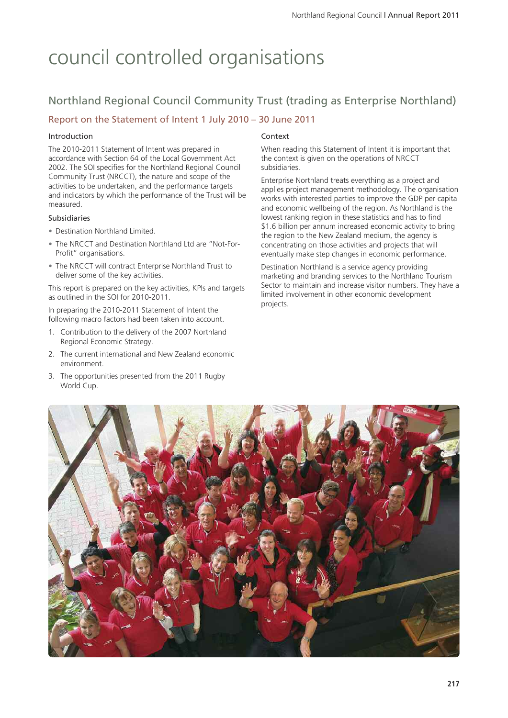### Northland Regional Council Community Trust (trading as Enterprise Northland)

#### Report on the Statement of Intent 1 July 2010 – 30 June 2011

#### Introduction

The 2010-2011 Statement of Intent was prepared in accordance with Section 64 of the Local Government Act 2002. The SOI specifies for the Northland Regional Council Community Trust (NRCCT), the nature and scope of the activities to be undertaken, and the performance targets and indicators by which the performance of the Trust will be measured.

#### Subsidiaries

- Destination Northland Limited.
- The NRCCT and Destination Northland Ltd are "Not-For-Profit" organisations.
- The NRCCT will contract Enterprise Northland Trust to deliver some of the key activities.

This report is prepared on the key activities, KPIs and targets as outlined in the SOI for 2010-2011.

In preparing the 2010-2011 Statement of Intent the following macro factors had been taken into account.

- 1. Contribution to the delivery of the 2007 Northland Regional Economic Strategy.
- 2. The current international and New Zealand economic environment.
- 3. The opportunities presented from the 2011 Rugby World Cup.

#### Context

When reading this Statement of Intent it is important that the context is given on the operations of NRCCT subsidiaries.

Enterprise Northland treats everything as a project and applies project management methodology. The organisation works with interested parties to improve the GDP per capita and economic wellbeing of the region. As Northland is the lowest ranking region in these statistics and has to find \$1.6 billion per annum increased economic activity to bring the region to the New Zealand medium, the agency is concentrating on those activities and projects that will eventually make step changes in economic performance.

Destination Northland is a service agency providing marketing and branding services to the Northland Tourism Sector to maintain and increase visitor numbers. They have a limited involvement in other economic development projects.

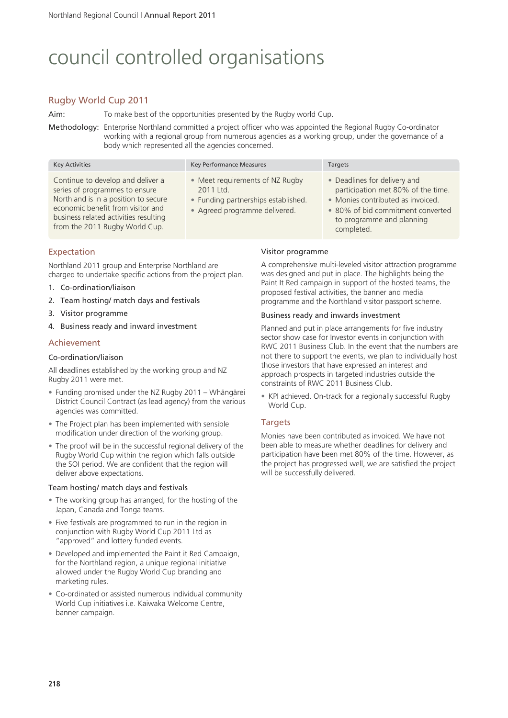#### Rugby World Cup 2011

Aim: To make best of the opportunities presented by the Rugby world Cup.

Methodology: Enterprise Northland committed a project officer who was appointed the Regional Rugby Co-ordinator working with a regional group from numerous agencies as a working group, under the governance of a body which represented all the agencies concerned.

| <b>Key Activities</b>                                                                                                                                                                                                       | <b>Key Performance Measures</b>                                                                                      | <b>Targets</b>                                                                                                                                                                          |
|-----------------------------------------------------------------------------------------------------------------------------------------------------------------------------------------------------------------------------|----------------------------------------------------------------------------------------------------------------------|-----------------------------------------------------------------------------------------------------------------------------------------------------------------------------------------|
| Continue to develop and deliver a<br>series of programmes to ensure<br>Northland is in a position to secure<br>economic benefit from visitor and<br>business related activities resulting<br>from the 2011 Rugby World Cup. | • Meet requirements of NZ Rugby<br>2011 Ltd.<br>• Funding partnerships established.<br>• Agreed programme delivered. | • Deadlines for delivery and<br>participation met 80% of the time.<br>• Monies contributed as invoiced.<br>• 80% of bid commitment converted<br>to programme and planning<br>completed. |

#### Expectation

Northland 2011 group and Enterprise Northland are charged to undertake specific actions from the project plan.

- 1. Co-ordination/liaison
- 2. Team hosting/ match days and festivals
- 3. Visitor programme
- 4. Business ready and inward investment

#### Achievement

#### Co-ordination/liaison

All deadlines established by the working group and NZ Rugby 2011 were met.

- Funding promised under the NZ Rugby 2011 Whängärei District Council Contract (as lead agency) from the various agencies was committed.
- The Project plan has been implemented with sensible modification under direction of the working group.
- The proof will be in the successful regional delivery of the Rugby World Cup within the region which falls outside the SOI period. We are confident that the region will deliver above expectations.

#### Team hosting/ match days and festivals

- The working group has arranged, for the hosting of the Japan, Canada and Tonga teams.
- Five festivals are programmed to run in the region in conjunction with Rugby World Cup 2011 Ltd as "approved" and lottery funded events.
- Developed and implemented the Paint it Red Campaign, for the Northland region, a unique regional initiative allowed under the Rugby World Cup branding and marketing rules.
- Co-ordinated or assisted numerous individual community World Cup initiatives i.e. Kaiwaka Welcome Centre, banner campaign.

#### Visitor programme

A comprehensive multi-leveled visitor attraction programme was designed and put in place. The highlights being the Paint It Red campaign in support of the hosted teams, the proposed festival activities, the banner and media programme and the Northland visitor passport scheme.

#### Business ready and inwards investment

Planned and put in place arrangements for five industry sector show case for Investor events in conjunction with RWC 2011 Business Club. In the event that the numbers are not there to support the events, we plan to individually host those investors that have expressed an interest and approach prospects in targeted industries outside the constraints of RWC 2011 Business Club.

• KPI achieved. On-track for a regionally successful Rugby World Cup.

#### **Targets**

Monies have been contributed as invoiced. We have not been able to measure whether deadlines for delivery and participation have been met 80% of the time. However, as the project has progressed well, we are satisfied the project will be successfully delivered.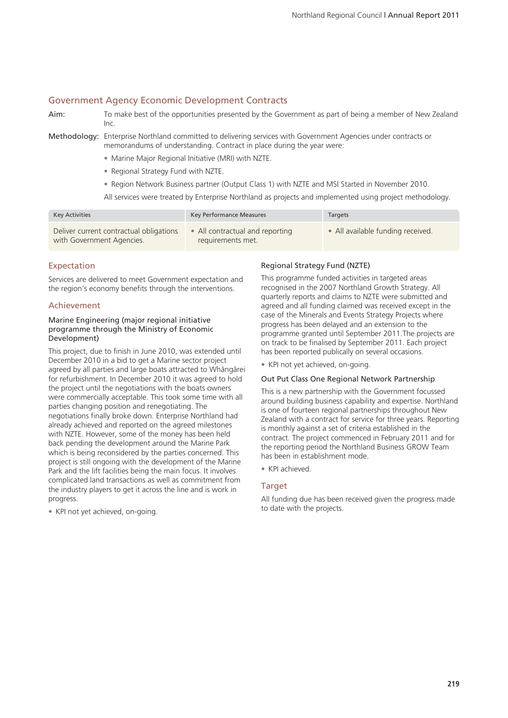#### Government Agency Economic Development Contracts

Aim: To make best of the opportunities presented by the Government as part of being a member of New Zealand Inc.

- Methodology: Enterprise Northland committed to delivering services with Government Agencies under contracts or memorandums of understanding. Contract in place during the year were:
	- Marine Major Regional Initiative (MRI) with NZTE.
	- Regional Strategy Fund with NZTE.
	- Region Network Business partner (Output Class 1) with NZTE and MSI Started in November 2010.

All services were treated by Enterprise Northland as projects and implemented using project methodology.

| <b>Key Activities</b>                                                | <b>Key Performance Measures</b>                      | <b>Targets</b>                    |
|----------------------------------------------------------------------|------------------------------------------------------|-----------------------------------|
| Deliver current contractual obligations<br>with Government Agencies. | • All contractual and reporting<br>requirements met. | • All available funding received. |

#### Expectation

Services are delivered to meet Government expectation and the region's economy benefits through the interventions.

#### Achievement

#### Marine Engineering (major regional initiative programme through the Ministry of Economic Development)

This project, due to finish in June 2010, was extended until December 2010 in a bid to get a Marine sector project agreed by all parties and large boats attracted to Whängärei for refurbishment. In December 2010 it was agreed to hold the project until the negotiations with the boats owners were commercially acceptable. This took some time with all parties changing position and renegotiating. The negotiations finally broke down. Enterprise Northland had already achieved and reported on the agreed milestones with NZTE. However, some of the money has been held back pending the development around the Marine Park which is being reconsidered by the parties concerned. This project is still ongoing with the development of the Marine Park and the lift facilities being the main focus. It involves complicated land transactions as well as commitment from the industry players to get it across the line and is work in progress.

• KPI not yet achieved, on-going.

#### Regional Strategy Fund (NZTE)

This programme funded activities in targeted areas recognised in the 2007 Northland Growth Strategy. All quarterly reports and claims to NZTE were submitted and agreed and all funding claimed was received except in the case of the Minerals and Events Strategy Projects where progress has been delayed and an extension to the programme granted until September 2011.The projects are on track to be finalised by September 2011. Each project has been reported publically on several occasions.

• KPI not yet achieved, on-going.

#### Out Put Class One Regional Network Partnership

This is a new partnership with the Government focussed around building business capability and expertise. Northland is one of fourteen regional partnerships throughout New Zealand with a contract for service for three years. Reporting is monthly against a set of criteria established in the contract. The project commenced in February 2011 and for the reporting period the Northland Business GROW Team has been in establishment mode.

• KPI achieved.

#### **Target**

All funding due has been received given the progress made to date with the projects.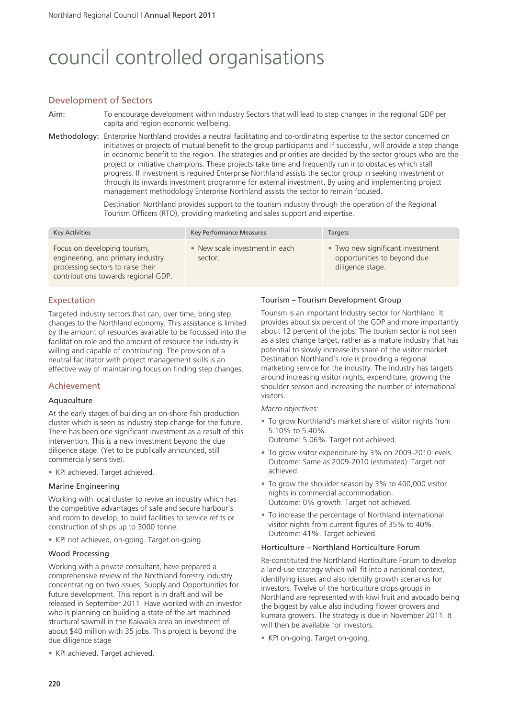#### Development of Sectors

Aim: To encourage development within Industry Sectors that will lead to step changes in the regional GDP per capita and region economic wellbeing.

Methodology: Enterprise Northland provides a neutral facilitating and co-ordinating expertise to the sector concerned on initiatives or projects of mutual benefit to the group participants and if successful, will provide a step change in economic benefit to the region. The strategies and priorities are decided by the sector groups who are the project or initiative champions. These projects take time and frequently run into obstacles which stall progress. If investment is required Enterprise Northland assists the sector group in seeking investment or through its inwards investment programme for external investment. By using and implementing project management methodology Enterprise Northland assists the sector to remain focused.

> Destination Northland provides support to the tourism industry through the operation of the Regional Tourism Officers (RTO), providing marketing and sales support and expertise.

| <b>Key Activities</b>                                                                                                                         | <b>Key Performance Measures</b>           | Targets                                                                             |
|-----------------------------------------------------------------------------------------------------------------------------------------------|-------------------------------------------|-------------------------------------------------------------------------------------|
| Focus on developing tourism,<br>engineering, and primary industry<br>processing sectors to raise their<br>contributions towards regional GDP. | • New scale investment in each<br>sector. | • Two new significant investment<br>opportunities to beyond due<br>diligence stage. |

#### Expectation

Targeted industry sectors that can, over time, bring step changes to the Northland economy. This assistance is limited by the amount of resources available to be focussed into the facilitation role and the amount of resource the industry is willing and capable of contributing. The provision of a neutral facilitator with project management skills is an effective way of maintaining focus on finding step changes.

#### Achievement

#### Aquaculture

At the early stages of building an on-shore fish production cluster which is seen as industry step change for the future. There has been one significant investment as a result of this intervention. This is a new investment beyond the due diligence stage. (Yet to be publically announced, still commercially sensitive).

• KPI achieved. Target achieved.

#### Marine Engineering

Working with local cluster to revive an industry which has the competitive advantages of safe and secure harbour's and room to develop, to build facilities to service refits or construction of ships up to 3000 tonne.

• KPI not achieved, on-going. Target on-going.

#### Wood Processing

Working with a private consultant, have prepared a comprehensive review of the Northland forestry industry concentrating on two issues; Supply and Opportunities for future development. This report is in draft and will be released in September 2011. Have worked with an investor who is planning on building a state of the art machined structural sawmill in the Kaiwaka area an investment of about \$40 million with 35 jobs. This project is beyond the due diligence stage

• KPI achieved. Target achieved.

#### Tourism – Tourism Development Group

Tourism is an important Industry sector for Northland. It provides about six percent of the GDP and more importantly about 12 percent of the jobs. The tourism sector is not seen as a step change target, rather as a mature industry that has potential to slowly increase its share of the visitor market. Destination Northland's role is providing a regional marketing service for the industry. The industry has targets around increasing visitor nights, expenditure, growing the shoulder season and increasing the number of international visitors.

#### *Macro objectives:*

• To grow Northland's market share of visitor nights from 5.10% to 5.40%.

Outcome: 5.06%. Target not achieved.

- To grow visitor expenditure by 3% on 2009-2010 levels. Outcome: Same as 2009-2010 (estimated). Target not achieved.
- To grow the shoulder season by 3% to 400,000 visitor nights in commercial accommodation. Outcome: 0% growth. Target not achieved.
- To increase the percentage of Northland international visitor nights from current figures of 35% to 40%. Outcome: 41%. Target achieved.

#### Horticulture – Northland Horticulture Forum

Re-constituted the Northland Horticulture Forum to develop a land-use strategy which will fit into a national context, identifying issues and also identify growth scenarios for investors. Twelve of the horticulture crops groups in Northland are represented with kiwi fruit and avocado being the biggest by value also including flower growers and kumara growers. The strategy is due in November 2011. It will then be available for investors.

• KPI on-going. Target on-going.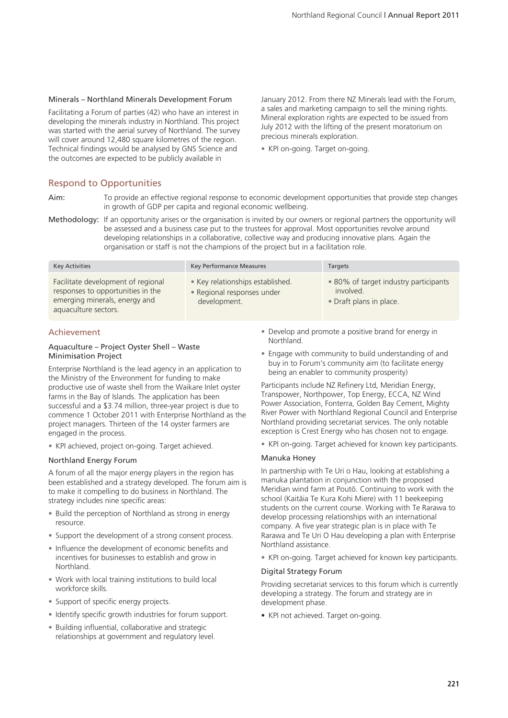#### Minerals – Northland Minerals Development Forum

Facilitating a Forum of parties (42) who have an interest in developing the minerals industry in Northland. This project was started with the aerial survey of Northland. The survey will cover around 12,480 square kilometres of the region. Technical findings would be analysed by GNS Science and the outcomes are expected to be publicly available in

January 2012. From there NZ Minerals lead with the Forum, a sales and marketing campaign to sell the mining rights. Mineral exploration rights are expected to be issued from July 2012 with the lifting of the present moratorium on precious minerals exploration.

• KPI on-going. Target on-going.

#### Respond to Opportunities

Aim: To provide an effective regional response to economic development opportunities that provide step changes in growth of GDP per capita and regional economic wellbeing.

Methodology: If an opportunity arises or the organisation is invited by our owners or regional partners the opportunity will be assessed and a business case put to the trustees for approval. Most opportunities revolve around developing relationships in a collaborative, collective way and producing innovative plans. Again the organisation or staff is not the champions of the project but in a facilitation role.

| <b>Key Activities</b>                                                                                                            | <b>Key Performance Measures</b>                                                | Targets                                                                       |
|----------------------------------------------------------------------------------------------------------------------------------|--------------------------------------------------------------------------------|-------------------------------------------------------------------------------|
| Facilitate development of regional<br>responses to opportunities in the<br>emerging minerals, energy and<br>aquaculture sectors. | • Key relationships established.<br>· Regional responses under<br>development. | • 80% of target industry participants<br>involved.<br>• Draft plans in place. |

#### Achievement

#### Aquaculture – Project Oyster Shell – Waste Minimisation Project

Enterprise Northland is the lead agency in an application to the Ministry of the Environment for funding to make productive use of waste shell from the Waikare Inlet oyster farms in the Bay of Islands. The application has been successful and a \$3.74 million, three-year project is due to commence 1 October 2011 with Enterprise Northland as the project managers. Thirteen of the 14 oyster farmers are engaged in the process.

• KPI achieved, project on-going. Target achieved.

#### Northland Energy Forum

A forum of all the major energy players in the region has been established and a strategy developed. The forum aim is to make it compelling to do business in Northland. The strategy includes nine specific areas:

- Build the perception of Northland as strong in energy resource.
- Support the development of a strong consent process.
- Influence the development of economic benefits and incentives for businesses to establish and grow in Northland.
- Work with local training institutions to build local workforce skills.
- Support of specific energy projects.
- Identify specific growth industries for forum support.
- Building influential, collaborative and strategic relationships at government and regulatory level.
- Develop and promote a positive brand for energy in Northland.
- Engage with community to build understanding of and buy in to Forum's community aim (to facilitate energy being an enabler to community prosperity)

Participants include NZ Refinery Ltd, Meridian Energy, Transpower, Northpower, Top Energy, ECCA, NZ Wind Power Association, Fonterra, Golden Bay Cement, Mighty River Power with Northland Regional Council and Enterprise Northland providing secretariat services. The only notable exception is Crest Energy who has chosen not to engage.

• KPI on-going. Target achieved for known key participants.

#### Manuka Honey

In partnership with Te Uri o Hau, looking at establishing a manuka plantation in conjunction with the proposed Meridian wind farm at Poutö. Continuing to work with the school (Kaitäia Te Kura Kohi Miere) with 11 beekeeping students on the current course. Working with Te Rarawa to develop processing relationships with an international company. A five year strategic plan is in place with Te Rarawa and Te Uri O Hau developing a plan with Enterprise Northland assistance.

• KPI on-going. Target achieved for known key participants.

#### Digital Strategy Forum

Providing secretariat services to this forum which is currently developing a strategy. The forum and strategy are in development phase.

• KPI not achieved. Target on-going.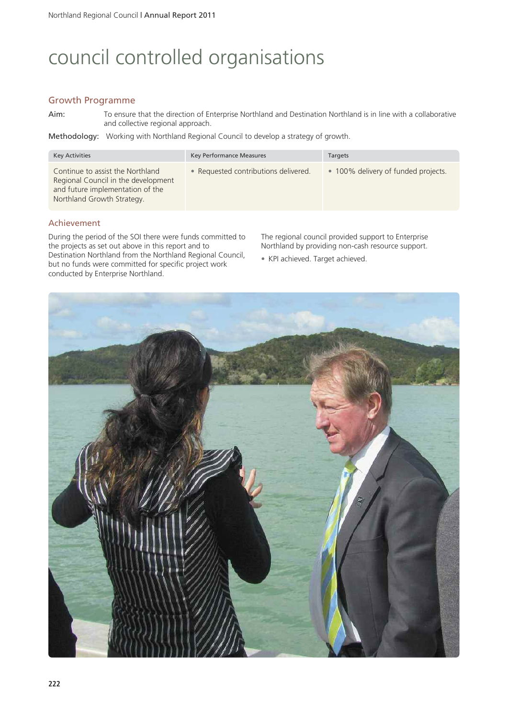#### Growth Programme

Aim: To ensure that the direction of Enterprise Northland and Destination Northland is in line with a collaborative and collective regional approach.

Methodology: Working with Northland Regional Council to develop a strategy of growth.

| <b>Key Activities</b>                                                                                                                     | <b>Key Performance Measures</b>      | Targets                             |
|-------------------------------------------------------------------------------------------------------------------------------------------|--------------------------------------|-------------------------------------|
| Continue to assist the Northland<br>Regional Council in the development<br>and future implementation of the<br>Northland Growth Strategy. | • Requested contributions delivered. | • 100% delivery of funded projects. |

#### Achievement

During the period of the SOI there were funds committed to the projects as set out above in this report and to Destination Northland from the Northland Regional Council, but no funds were committed for specific project work conducted by Enterprise Northland.

The regional council provided support to Enterprise Northland by providing non-cash resource support.

• KPI achieved. Target achieved.

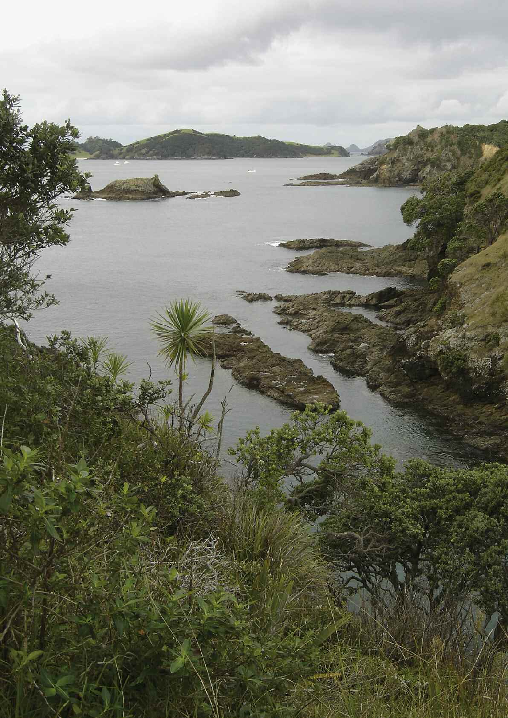